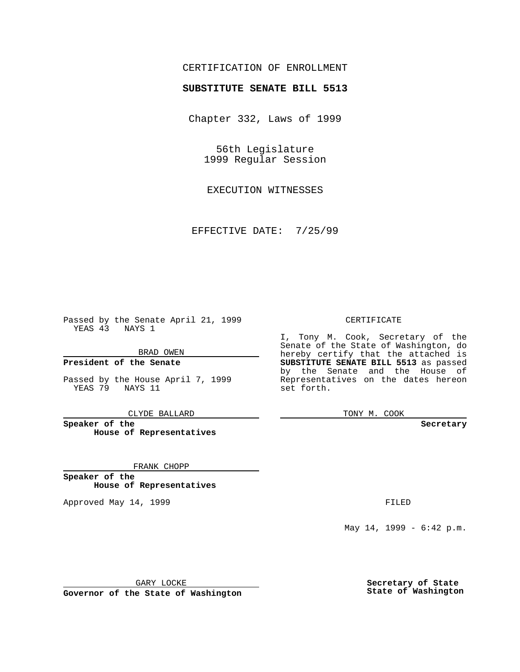## CERTIFICATION OF ENROLLMENT

# **SUBSTITUTE SENATE BILL 5513**

Chapter 332, Laws of 1999

56th Legislature 1999 Regular Session

EXECUTION WITNESSES

EFFECTIVE DATE: 7/25/99

Passed by the Senate April 21, 1999 YEAS 43 NAYS 1

BRAD OWEN

**President of the Senate**

Passed by the House April 7, 1999 YEAS 79 NAYS 11

CLYDE BALLARD

**Speaker of the House of Representatives**

FRANK CHOPP

**Speaker of the House of Representatives**

Approved May 14, 1999 **FILED** 

#### CERTIFICATE

I, Tony M. Cook, Secretary of the Senate of the State of Washington, do hereby certify that the attached is **SUBSTITUTE SENATE BILL 5513** as passed by the Senate and the House of Representatives on the dates hereon set forth.

TONY M. COOK

#### **Secretary**

May 14, 1999 - 6:42 p.m.

GARY LOCKE

**Governor of the State of Washington**

**Secretary of State State of Washington**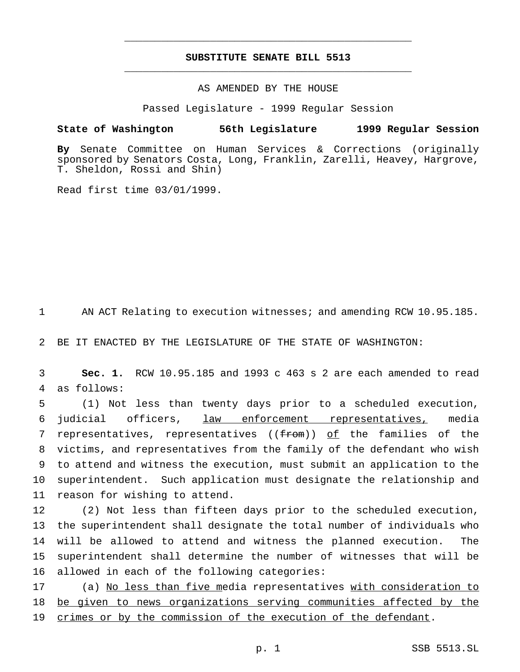## **SUBSTITUTE SENATE BILL 5513** \_\_\_\_\_\_\_\_\_\_\_\_\_\_\_\_\_\_\_\_\_\_\_\_\_\_\_\_\_\_\_\_\_\_\_\_\_\_\_\_\_\_\_\_\_\_\_

\_\_\_\_\_\_\_\_\_\_\_\_\_\_\_\_\_\_\_\_\_\_\_\_\_\_\_\_\_\_\_\_\_\_\_\_\_\_\_\_\_\_\_\_\_\_\_

### AS AMENDED BY THE HOUSE

Passed Legislature - 1999 Regular Session

#### **State of Washington 56th Legislature 1999 Regular Session**

**By** Senate Committee on Human Services & Corrections (originally sponsored by Senators Costa, Long, Franklin, Zarelli, Heavey, Hargrove, T. Sheldon, Rossi and Shin)

Read first time 03/01/1999.

1 AN ACT Relating to execution witnesses; and amending RCW 10.95.185.

2 BE IT ENACTED BY THE LEGISLATURE OF THE STATE OF WASHINGTON:

3 **Sec. 1.** RCW 10.95.185 and 1993 c 463 s 2 are each amended to read 4 as follows:

 (1) Not less than twenty days prior to a scheduled execution, judicial officers, law enforcement representatives, media 7 representatives, representatives ((from)) of the families of the victims, and representatives from the family of the defendant who wish to attend and witness the execution, must submit an application to the superintendent. Such application must designate the relationship and reason for wishing to attend.

 (2) Not less than fifteen days prior to the scheduled execution, the superintendent shall designate the total number of individuals who will be allowed to attend and witness the planned execution. The superintendent shall determine the number of witnesses that will be allowed in each of the following categories:

17 (a) No less than five media representatives with consideration to 18 be given to news organizations serving communities affected by the 19 crimes or by the commission of the execution of the defendant.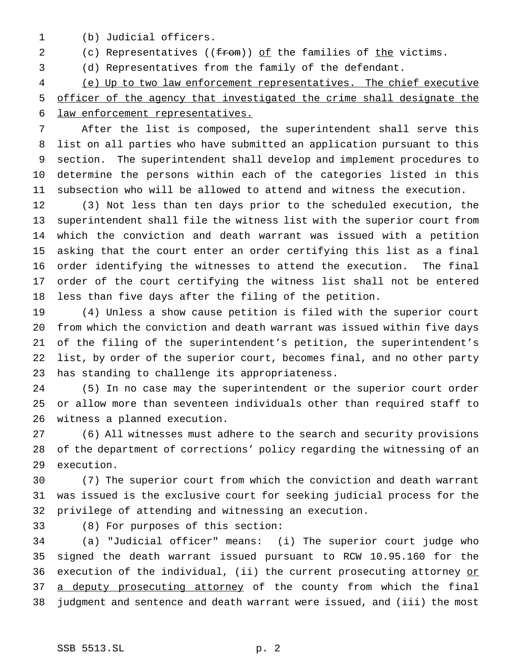(b) Judicial officers.

2 (c) Representatives ((from)) of the families of the victims.

(d) Representatives from the family of the defendant.

 (e) Up to two law enforcement representatives. The chief executive officer of the agency that investigated the crime shall designate the law enforcement representatives.

 After the list is composed, the superintendent shall serve this list on all parties who have submitted an application pursuant to this section. The superintendent shall develop and implement procedures to determine the persons within each of the categories listed in this subsection who will be allowed to attend and witness the execution.

 (3) Not less than ten days prior to the scheduled execution, the superintendent shall file the witness list with the superior court from which the conviction and death warrant was issued with a petition asking that the court enter an order certifying this list as a final order identifying the witnesses to attend the execution. The final order of the court certifying the witness list shall not be entered less than five days after the filing of the petition.

 (4) Unless a show cause petition is filed with the superior court from which the conviction and death warrant was issued within five days of the filing of the superintendent's petition, the superintendent's list, by order of the superior court, becomes final, and no other party has standing to challenge its appropriateness.

 (5) In no case may the superintendent or the superior court order or allow more than seventeen individuals other than required staff to witness a planned execution.

 (6) All witnesses must adhere to the search and security provisions of the department of corrections' policy regarding the witnessing of an execution.

 (7) The superior court from which the conviction and death warrant was issued is the exclusive court for seeking judicial process for the privilege of attending and witnessing an execution.

(8) For purposes of this section:

 (a) "Judicial officer" means: (i) The superior court judge who signed the death warrant issued pursuant to RCW 10.95.160 for the 36 execution of the individual, (ii) the current prosecuting attorney or 37 a deputy prosecuting attorney of the county from which the final judgment and sentence and death warrant were issued, and (iii) the most